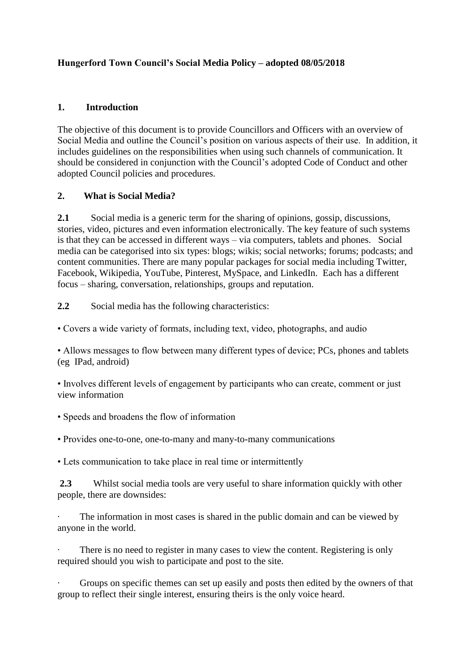## **Hungerford Town Council's Social Media Policy – adopted 08/05/2018**

#### **1. Introduction**

The objective of this document is to provide Councillors and Officers with an overview of Social Media and outline the Council's position on various aspects of their use. In addition, it includes guidelines on the responsibilities when using such channels of communication. It should be considered in conjunction with the Council's adopted Code of Conduct and other adopted Council policies and procedures.

#### **2. What is Social Media?**

**2.1** Social media is a generic term for the sharing of opinions, gossip, discussions, stories, video, pictures and even information electronically. The key feature of such systems is that they can be accessed in different ways – via computers, tablets and phones. Social media can be categorised into six types: blogs; wikis; social networks; forums; podcasts; and content communities. There are many popular packages for social media including Twitter, Facebook, Wikipedia, YouTube, Pinterest, MySpace, and LinkedIn. Each has a different focus – sharing, conversation, relationships, groups and reputation.

**2.2** Social media has the following characteristics:

• Covers a wide variety of formats, including text, video, photographs, and audio

• Allows messages to flow between many different types of device; PCs, phones and tablets (eg IPad, android)

• Involves different levels of engagement by participants who can create, comment or just view information

• Speeds and broadens the flow of information

• Provides one-to-one, one-to-many and many-to-many communications

• Lets communication to take place in real time or intermittently

**2.3** Whilst social media tools are very useful to share information quickly with other people, there are downsides:

The information in most cases is shared in the public domain and can be viewed by anyone in the world.

There is no need to register in many cases to view the content. Registering is only required should you wish to participate and post to the site.

Groups on specific themes can set up easily and posts then edited by the owners of that group to reflect their single interest, ensuring theirs is the only voice heard.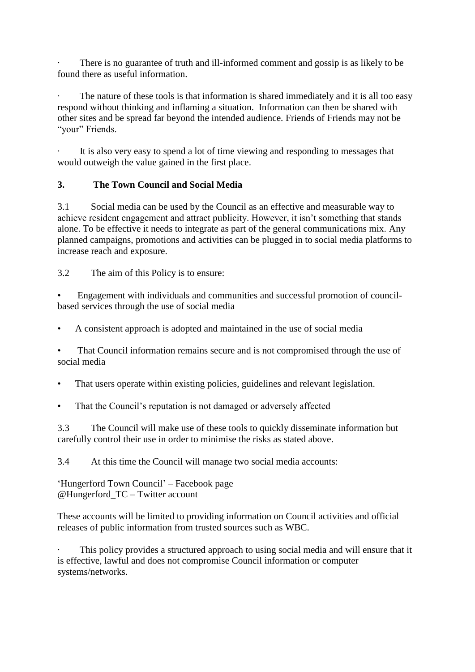There is no guarantee of truth and ill-informed comment and gossip is as likely to be found there as useful information.

The nature of these tools is that information is shared immediately and it is all too easy respond without thinking and inflaming a situation. Information can then be shared with other sites and be spread far beyond the intended audience. Friends of Friends may not be "your" Friends.

It is also very easy to spend a lot of time viewing and responding to messages that would outweigh the value gained in the first place.

## **3. The Town Council and Social Media**

3.1 Social media can be used by the Council as an effective and measurable way to achieve resident engagement and attract publicity. However, it isn't something that stands alone. To be effective it needs to integrate as part of the general communications mix. Any planned campaigns, promotions and activities can be plugged in to social media platforms to increase reach and exposure.

3.2 The aim of this Policy is to ensure:

• Engagement with individuals and communities and successful promotion of councilbased services through the use of social media

• A consistent approach is adopted and maintained in the use of social media

That Council information remains secure and is not compromised through the use of social media

• That users operate within existing policies, guidelines and relevant legislation.

• That the Council's reputation is not damaged or adversely affected

3.3 The Council will make use of these tools to quickly disseminate information but carefully control their use in order to minimise the risks as stated above.

3.4 At this time the Council will manage two social media accounts:

'Hungerford Town Council' – Facebook page @Hungerford\_TC – Twitter account

These accounts will be limited to providing information on Council activities and official releases of public information from trusted sources such as WBC.

This policy provides a structured approach to using social media and will ensure that it is effective, lawful and does not compromise Council information or computer systems/networks.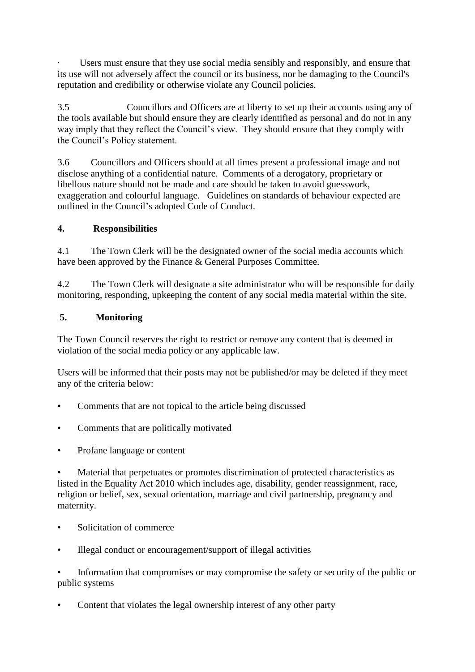Users must ensure that they use social media sensibly and responsibly, and ensure that its use will not adversely affect the council or its business, nor be damaging to the Council's reputation and credibility or otherwise violate any Council policies.

3.5 Councillors and Officers are at liberty to set up their accounts using any of the tools available but should ensure they are clearly identified as personal and do not in any way imply that they reflect the Council's view. They should ensure that they comply with the Council's Policy statement.

3.6 Councillors and Officers should at all times present a professional image and not disclose anything of a confidential nature. Comments of a derogatory, proprietary or libellous nature should not be made and care should be taken to avoid guesswork, exaggeration and colourful language. Guidelines on standards of behaviour expected are outlined in the Council's adopted Code of Conduct.

## **4. Responsibilities**

4.1 The Town Clerk will be the designated owner of the social media accounts which have been approved by the Finance & General Purposes Committee.

4.2 The Town Clerk will designate a site administrator who will be responsible for daily monitoring, responding, upkeeping the content of any social media material within the site.

# **5. Monitoring**

The Town Council reserves the right to restrict or remove any content that is deemed in violation of the social media policy or any applicable law.

Users will be informed that their posts may not be published/or may be deleted if they meet any of the criteria below:

- Comments that are not topical to the article being discussed
- Comments that are politically motivated
- Profane language or content

• Material that perpetuates or promotes discrimination of protected characteristics as listed in the Equality Act 2010 which includes age, disability, gender reassignment, race, religion or belief, sex, sexual orientation, marriage and civil partnership, pregnancy and maternity.

- Solicitation of commerce
- Illegal conduct or encouragement/support of illegal activities

• Information that compromises or may compromise the safety or security of the public or public systems

• Content that violates the legal ownership interest of any other party